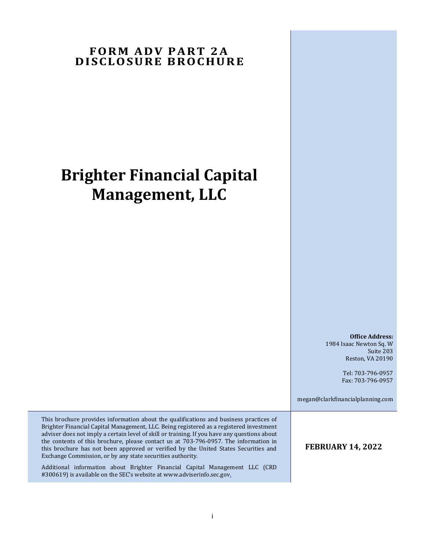## **FORM ADV PART 2A D I SCLO SU RE B RO CHU RE**

# **Brighter Financial Capital Management, LLC**

**Office Address:** 1984 Isaac Newton Sq. W Suite 203 Reston, VA 20190

> Tel: 703-796-0957 Fax: 703-796-0957

megan@clarkfinancialplanning.com

This brochure provides information about the qualifications and business practices of Brighter Financial Capital Management, LLC. Being registered as a registered investment adviser does not imply a certain level of skill or training. If you have any questions about the contents of this brochure, please contact us at 703-796-0957. The information in this brochure has not been approved or verified by the United States Securities and Exchange Commission, or by any state securities authority.

Additional information about Brighter Financial Capital Management LLC (CRD #300619) is available on the SEC's website at www.adviserinfo.sec.gov.

**FEBRUARY 14, 2022**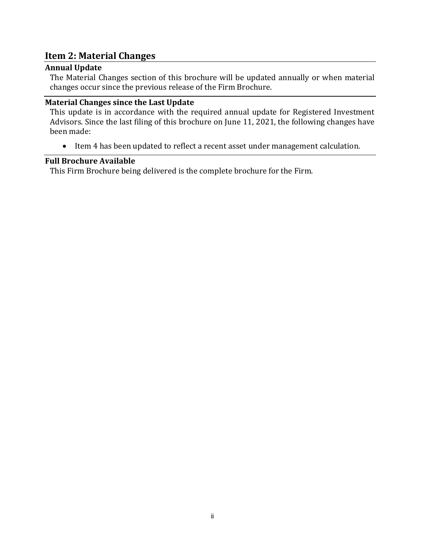## <span id="page-1-0"></span>**Item 2: Material Changes**

## <span id="page-1-1"></span>**Annual Update**

The Material Changes section of this brochure will be updated annually or when material changes occur since the previous release of the Firm Brochure.

### <span id="page-1-2"></span>**Material Changes since the Last Update**

This update is in accordance with the required annual update for Registered Investment Advisors. Since the last filing of this brochure on June 11, 2021, the following changes have been made:

• Item 4 has been updated to reflect a recent asset under management calculation.

### <span id="page-1-3"></span>**Full Brochure Available**

This Firm Brochure being delivered is the complete brochure for the Firm.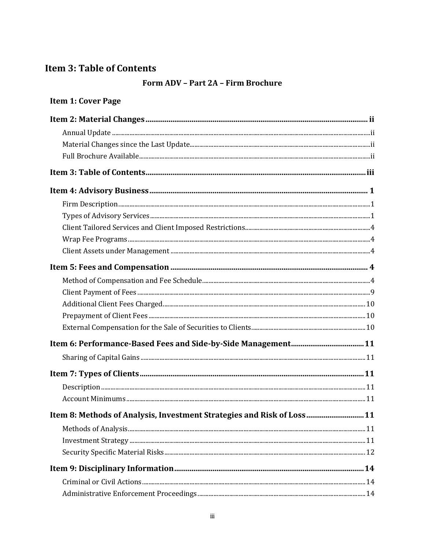# <span id="page-2-0"></span>**Item 3: Table of Contents**

## Form ADV - Part 2A - Firm Brochure

# Item 1: Cover Page

| Item 8: Methods of Analysis, Investment Strategies and Risk of Loss 11 |  |
|------------------------------------------------------------------------|--|
|                                                                        |  |
|                                                                        |  |
|                                                                        |  |
|                                                                        |  |
|                                                                        |  |
|                                                                        |  |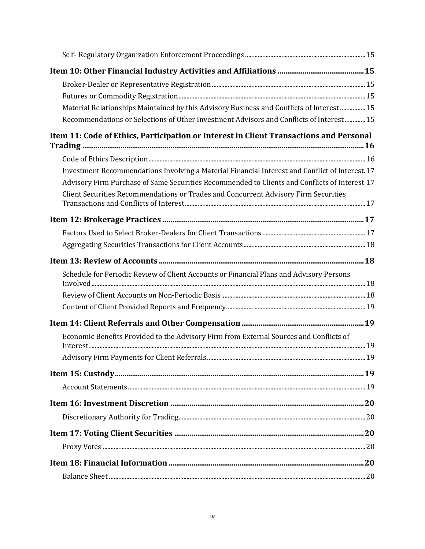| Material Relationships Maintained by this Advisory Business and Conflicts of Interest 15        |  |
|-------------------------------------------------------------------------------------------------|--|
| Recommendations or Selections of Other Investment Advisors and Conflicts of Interest 15         |  |
| Item 11: Code of Ethics, Participation or Interest in Client Transactions and Personal          |  |
|                                                                                                 |  |
| Investment Recommendations Involving a Material Financial Interest and Conflict of Interest. 17 |  |
| Advisory Firm Purchase of Same Securities Recommended to Clients and Conflicts of Interest 17   |  |
| Client Securities Recommendations or Trades and Concurrent Advisory Firm Securities             |  |
|                                                                                                 |  |
|                                                                                                 |  |
|                                                                                                 |  |
|                                                                                                 |  |
| Schedule for Periodic Review of Client Accounts or Financial Plans and Advisory Persons         |  |
|                                                                                                 |  |
|                                                                                                 |  |
|                                                                                                 |  |
|                                                                                                 |  |
| Economic Benefits Provided to the Advisory Firm from External Sources and Conflicts of          |  |
|                                                                                                 |  |
|                                                                                                 |  |
|                                                                                                 |  |
|                                                                                                 |  |
|                                                                                                 |  |
|                                                                                                 |  |
|                                                                                                 |  |
|                                                                                                 |  |
|                                                                                                 |  |
|                                                                                                 |  |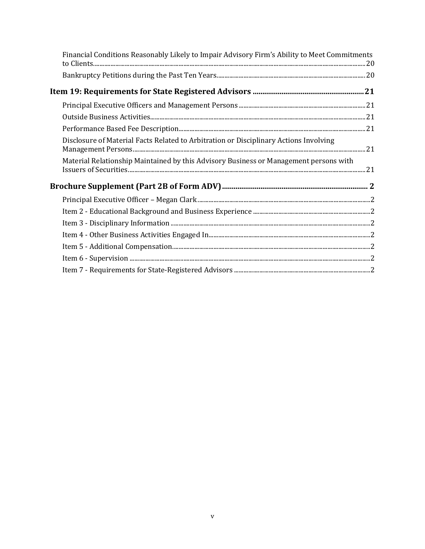| Financial Conditions Reasonably Likely to Impair Advisory Firm's Ability to Meet Commitments |  |
|----------------------------------------------------------------------------------------------|--|
|                                                                                              |  |
|                                                                                              |  |
|                                                                                              |  |
|                                                                                              |  |
|                                                                                              |  |
| Disclosure of Material Facts Related to Arbitration or Disciplinary Actions Involving        |  |
| Material Relationship Maintained by this Advisory Business or Management persons with        |  |
|                                                                                              |  |
|                                                                                              |  |
|                                                                                              |  |
|                                                                                              |  |
|                                                                                              |  |
|                                                                                              |  |
|                                                                                              |  |
|                                                                                              |  |
|                                                                                              |  |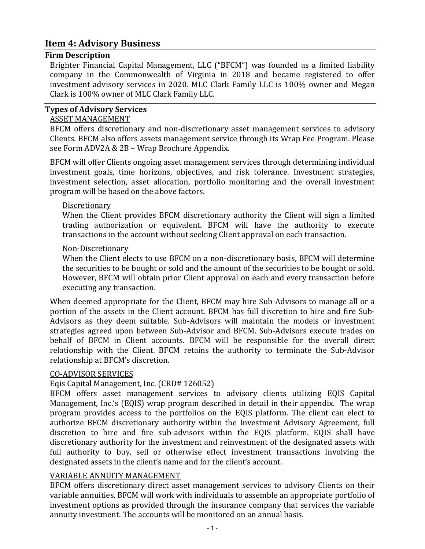## <span id="page-5-0"></span>**Item 4: Advisory Business**

#### <span id="page-5-1"></span>**Firm Description**

Brighter Financial Capital Management, LLC ("BFCM") was founded as a limited liability company in the Commonwealth of Virginia in 2018 and became registered to offer investment advisory services in 2020. MLC Clark Family LLC is 100% owner and Megan Clark is 100% owner of MLC Clark Family LLC.

#### <span id="page-5-2"></span>**Types of Advisory Services**

#### ASSET MANAGEMENT

BFCM offers discretionary and non-discretionary asset management services to advisory Clients. BFCM also offers assets management service through its Wrap Fee Program. Please see Form ADV2A & 2B – Wrap Brochure Appendix.

BFCM will offer Clients ongoing asset management services through determining individual investment goals, time horizons, objectives, and risk tolerance. Investment strategies, investment selection, asset allocation, portfolio monitoring and the overall investment program will be based on the above factors.

#### **Discretionary**

When the Client provides BFCM discretionary authority the Client will sign a limited trading authorization or equivalent. BFCM will have the authority to execute transactions in the account without seeking Client approval on each transaction.

#### Non-Discretionary

When the Client elects to use BFCM on a non-discretionary basis, BFCM will determine the securities to be bought or sold and the amount of the securities to be bought or sold. However, BFCM will obtain prior Client approval on each and every transaction before executing any transaction.

When deemed appropriate for the Client, BFCM may hire Sub-Advisors to manage all or a portion of the assets in the Client account. BFCM has full discretion to hire and fire Sub-Advisors as they deem suitable. Sub-Advisors will maintain the models or investment strategies agreed upon between Sub-Advisor and BFCM. Sub-Advisors execute trades on behalf of BFCM in Client accounts. BFCM will be responsible for the overall direct relationship with the Client. BFCM retains the authority to terminate the Sub-Advisor relationship at BFCM's discretion.

#### CO-ADVISOR SERVICES

#### Eqis Capital Management, Inc. (CRD# 126052)

BFCM offers asset management services to advisory clients utilizing EQIS Capital Management, Inc.'s (EQIS) wrap program described in detail in their appendix. The wrap program provides access to the portfolios on the EQIS platform. The client can elect to authorize BFCM discretionary authority within the Investment Advisory Agreement, full discretion to hire and fire sub-advisors within the EQIS platform. EQIS shall have discretionary authority for the investment and reinvestment of the designated assets with full authority to buy, sell or otherwise effect investment transactions involving the designated assets in the client's name and for the client's account.

#### VARIABLE ANNUITY MANAGEMENT

BFCM offers discretionary direct asset management services to advisory Clients on their variable annuities. BFCM will work with individuals to assemble an appropriate portfolio of investment options as provided through the insurance company that services the variable annuity investment. The accounts will be monitored on an annual basis.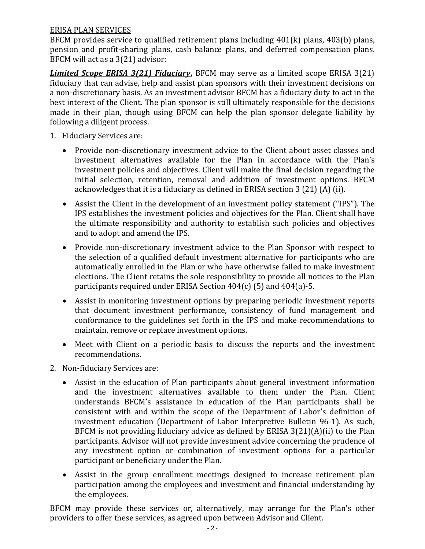### ERISA PLAN SERVICES

BFCM provides service to qualified retirement plans including 401(k) plans, 403(b) plans, pension and profit-sharing plans, cash balance plans, and deferred compensation plans. BFCM will act as a 3(21) advisor:

*Limited Scope ERISA 3(21) Fiduciary***.** BFCM may serve as a limited scope ERISA 3(21) fiduciary that can advise, help and assist plan sponsors with their investment decisions on a non-discretionary basis. As an investment advisor BFCM has a fiduciary duty to act in the best interest of the Client. The plan sponsor is still ultimately responsible for the decisions made in their plan, though using BFCM can help the plan sponsor delegate liability by following a diligent process.

- 1. Fiduciary Services are:
	- Provide non-discretionary investment advice to the Client about asset classes and investment alternatives available for the Plan in accordance with the Plan's investment policies and objectives. Client will make the final decision regarding the initial selection, retention, removal and addition of investment options. BFCM acknowledges that it is a fiduciary as defined in ERISA section 3 (21) (A) (ii).
	- Assist the Client in the development of an investment policy statement ("IPS"). The IPS establishes the investment policies and objectives for the Plan. Client shall have the ultimate responsibility and authority to establish such policies and objectives and to adopt and amend the IPS.
	- Provide non-discretionary investment advice to the Plan Sponsor with respect to the selection of a qualified default investment alternative for participants who are automatically enrolled in the Plan or who have otherwise failed to make investment elections. The Client retains the sole responsibility to provide all notices to the Plan participants required under ERISA Section 404(c) (5) and 404(a)-5.
	- Assist in monitoring investment options by preparing periodic investment reports that document investment performance, consistency of fund management and conformance to the guidelines set forth in the IPS and make recommendations to maintain, remove or replace investment options.
	- Meet with Client on a periodic basis to discuss the reports and the investment recommendations.
- 2. Non-fiduciary Services are:
	- Assist in the education of Plan participants about general investment information and the investment alternatives available to them under the Plan. Client understands BFCM's assistance in education of the Plan participants shall be consistent with and within the scope of the Department of Labor's definition of investment education (Department of Labor Interpretive Bulletin 96-1). As such, BFCM is not providing fiduciary advice as defined by ERISA 3(21)(A)(ii) to the Plan participants. Advisor will not provide investment advice concerning the prudence of any investment option or combination of investment options for a particular participant or beneficiary under the Plan.
	- Assist in the group enrollment meetings designed to increase retirement plan participation among the employees and investment and financial understanding by the employees.

BFCM may provide these services or, alternatively, may arrange for the Plan's other providers to offer these services, as agreed upon between Advisor and Client.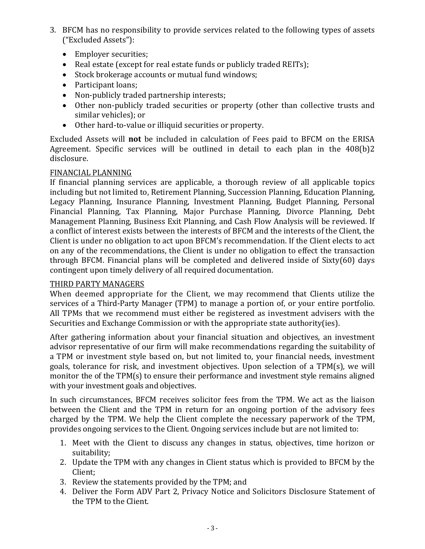- 3. BFCM has no responsibility to provide services related to the following types of assets ("Excluded Assets"):
	- Employer securities:
	- Real estate (except for real estate funds or publicly traded REITs);
	- Stock brokerage accounts or mutual fund windows;
	- Participant loans;
	- Non-publicly traded partnership interests;
	- Other non-publicly traded securities or property (other than collective trusts and similar vehicles); or
	- Other hard-to-value or illiquid securities or property.

Excluded Assets will **not** be included in calculation of Fees paid to BFCM on the ERISA Agreement. Specific services will be outlined in detail to each plan in the 408(b)2 disclosure.

#### FINANCIAL PLANNING

If financial planning services are applicable, a thorough review of all applicable topics including but not limited to, Retirement Planning, Succession Planning, Education Planning, Legacy Planning, Insurance Planning, Investment Planning, Budget Planning, Personal Financial Planning, Tax Planning, Major Purchase Planning, Divorce Planning, Debt Management Planning, Business Exit Planning, and Cash Flow Analysis will be reviewed. If a conflict of interest exists between the interests of BFCM and the interests of the Client, the Client is under no obligation to act upon BFCM's recommendation. If the Client elects to act on any of the recommendations, the Client is under no obligation to effect the transaction through BFCM. Financial plans will be completed and delivered inside of Sixty(60) days contingent upon timely delivery of all required documentation.

#### THIRD PARTY MANAGERS

When deemed appropriate for the Client, we may recommend that Clients utilize the services of a Third-Party Manager (TPM) to manage a portion of, or your entire portfolio. All TPMs that we recommend must either be registered as investment advisers with the Securities and Exchange Commission or with the appropriate state authority(ies).

After gathering information about your financial situation and objectives, an investment advisor representative of our firm will make recommendations regarding the suitability of a TPM or investment style based on, but not limited to, your financial needs, investment goals, tolerance for risk, and investment objectives. Upon selection of a TPM(s), we will monitor the of the TPM(s) to ensure their performance and investment style remains aligned with your investment goals and objectives.

In such circumstances, BFCM receives solicitor fees from the TPM. We act as the liaison between the Client and the TPM in return for an ongoing portion of the advisory fees charged by the TPM. We help the Client complete the necessary paperwork of the TPM, provides ongoing services to the Client. Ongoing services include but are not limited to:

- 1. Meet with the Client to discuss any changes in status, objectives, time horizon or suitability;
- 2. Update the TPM with any changes in Client status which is provided to BFCM by the Client;
- 3. Review the statements provided by the TPM; and
- 4. Deliver the Form ADV Part 2, Privacy Notice and Solicitors Disclosure Statement of the TPM to the Client.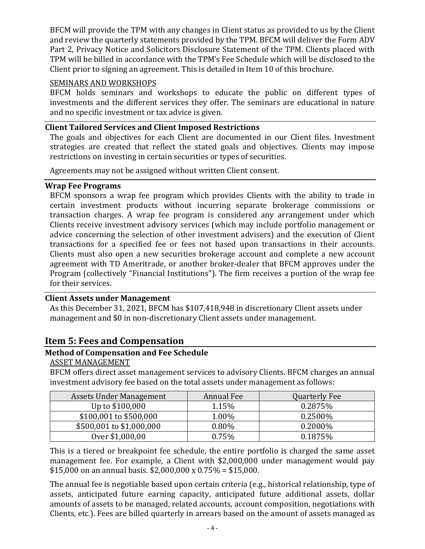BFCM will provide the TPM with any changes in Client status as provided to us by the Client and review the quarterly statements provided by the TPM. BFCM will deliver the Form ADV Part 2, Privacy Notice and Solicitors Disclosure Statement of the TPM. Clients placed with TPM will be billed in accordance with the TPM's Fee Schedule which will be disclosed to the Client prior to signing an agreement. This is detailed in Item 10 of this brochure.

#### SEMINARS AND WORKSHOPS

BFCM holds seminars and workshops to educate the public on different types of investments and the different services they offer. The seminars are educational in nature and no specific investment or tax advice is given.

### <span id="page-8-0"></span>**Client Tailored Services and Client Imposed Restrictions**

The goals and objectives for each Client are documented in our Client files. Investment strategies are created that reflect the stated goals and objectives. Clients may impose restrictions on investing in certain securities or types of securities.

Agreements may not be assigned without written Client consent.

#### <span id="page-8-1"></span>**Wrap Fee Programs**

BFCM sponsors a wrap fee program which provides Clients with the ability to trade in certain investment products without incurring separate brokerage commissions or transaction charges. A wrap fee program is considered any arrangement under which Clients receive investment advisory services (which may include portfolio management or advice concerning the selection of other investment advisers) and the execution of Client transactions for a specified fee or fees not based upon transactions in their accounts. Clients must also open a new securities brokerage account and complete a new account agreement with TD Ameritrade, or another broker-dealer that BFCM approves under the Program (collectively "Financial Institutions"). The firm receives a portion of the wrap fee for their services.

#### <span id="page-8-2"></span>**Client Assets under Management**

As this December 31, 2021, BFCM has \$107,418,948 in discretionary Client assets under management and \$0 in non-discretionary Client assets under management.

## <span id="page-8-3"></span>**Item 5: Fees and Compensation**

## <span id="page-8-4"></span>**Method of Compensation and Fee Schedule**

#### ASSET MANAGEMENT

BFCM offers direct asset management services to advisory Clients. BFCM charges an annual investment advisory fee based on the total assets under management as follows:

| Assets Under Management  | Annual Fee | <b>Quarterly Fee</b> |
|--------------------------|------------|----------------------|
| Up to \$100,000          | 1.15%      | 0.2875%              |
| \$100,001 to \$500,000   | 1.00%      | 0.2500\%             |
| \$500,001 to \$1,000,000 | 0.80%      | $0.2000\%$           |
| Over \$1,000,00          | 0.75%      | 0.1875%              |

This is a tiered or breakpoint fee schedule, the entire portfolio is charged the same asset management fee. For example, a Client with \$2,000,000 under management would pay \$15,000 on an annual basis. \$2,000,000 x  $0.75\% = $15,000$ .

The annual fee is negotiable based upon certain criteria (e.g., historical relationship, type of assets, anticipated future earning capacity, anticipated future additional assets, dollar amounts of assets to be managed, related accounts, account composition, negotiations with Clients, etc.). Fees are billed quarterly in arrears based on the amount of assets managed as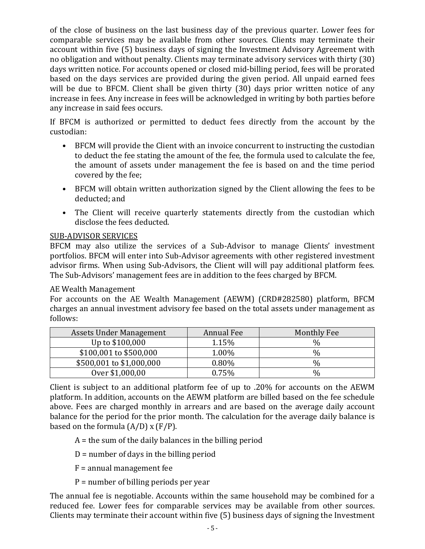of the close of business on the last business day of the previous quarter. Lower fees for comparable services may be available from other sources. Clients may terminate their account within five (5) business days of signing the Investment Advisory Agreement with no obligation and without penalty. Clients may terminate advisory services with thirty (30) days written notice. For accounts opened or closed mid-billing period, fees will be prorated based on the days services are provided during the given period. All unpaid earned fees will be due to BFCM. Client shall be given thirty (30) days prior written notice of any increase in fees. Any increase in fees will be acknowledged in writing by both parties before any increase in said fees occurs.

If BFCM is authorized or permitted to deduct fees directly from the account by the custodian:

- BFCM will provide the Client with an invoice concurrent to instructing the custodian to deduct the fee stating the amount of the fee, the formula used to calculate the fee, the amount of assets under management the fee is based on and the time period covered by the fee;
- BFCM will obtain written authorization signed by the Client allowing the fees to be deducted; and
- The Client will receive quarterly statements directly from the custodian which disclose the fees deducted.

## SUB-ADVISOR SERVICES

BFCM may also utilize the services of a Sub-Advisor to manage Clients' investment portfolios. BFCM will enter into Sub-Advisor agreements with other registered investment advisor firms. When using Sub-Advisors, the Client will will pay additional platform fees. The Sub-Advisors' management fees are in addition to the fees charged by BFCM.

#### AE Wealth Management

For accounts on the AE Wealth Management (AEWM) (CRD#282580) platform, BFCM charges an annual investment advisory fee based on the total assets under management as follows:

| Assets Under Management  | Annual Fee | Monthly Fee |
|--------------------------|------------|-------------|
| Up to \$100,000          | 1.15%      | ℅           |
| \$100,001 to \$500,000   | 1.00%      | $\%$        |
| \$500,001 to \$1,000,000 | 0.80%      | %           |
| Over \$1,000,00          | 0.75%      | ℅           |

Client is subject to an additional platform fee of up to .20% for accounts on the AEWM platform. In addition, accounts on the AEWM platform are billed based on the fee schedule above. Fees are charged monthly in arrears and are based on the average daily account balance for the period for the prior month. The calculation for the average daily balance is based on the formula  $(A/D)$  x  $(F/P)$ .

 $A =$  the sum of the daily balances in the billing period

 $D =$  number of days in the billing period

F = annual management fee

P = number of billing periods per year

The annual fee is negotiable. Accounts within the same household may be combined for a reduced fee. Lower fees for comparable services may be available from other sources. Clients may terminate their account within five (5) business days of signing the Investment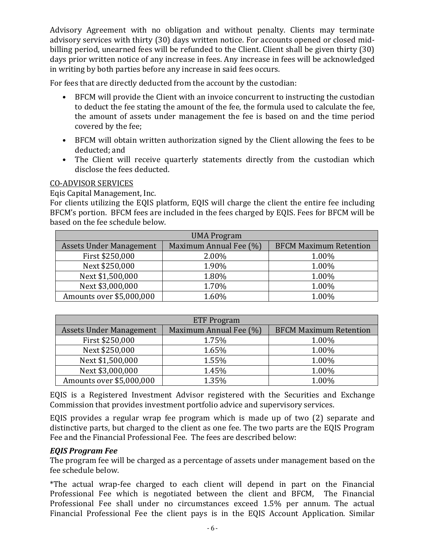Advisory Agreement with no obligation and without penalty. Clients may terminate advisory services with thirty (30) days written notice. For accounts opened or closed midbilling period, unearned fees will be refunded to the Client. Client shall be given thirty (30) days prior written notice of any increase in fees. Any increase in fees will be acknowledged in writing by both parties before any increase in said fees occurs.

For fees that are directly deducted from the account by the custodian:

- BFCM will provide the Client with an invoice concurrent to instructing the custodian to deduct the fee stating the amount of the fee, the formula used to calculate the fee, the amount of assets under management the fee is based on and the time period covered by the fee;
- BFCM will obtain written authorization signed by the Client allowing the fees to be deducted; and
- The Client will receive quarterly statements directly from the custodian which disclose the fees deducted.

### CO-ADVISOR SERVICES

Eqis Capital Management, Inc.

For clients utilizing the EQIS platform, EQIS will charge the client the entire fee including BFCM's portion. BFCM fees are included in the fees charged by EQIS. Fees for BFCM will be based on the fee schedule below.

| <b>UMA Program</b>             |                        |                               |
|--------------------------------|------------------------|-------------------------------|
| <b>Assets Under Management</b> | Maximum Annual Fee (%) | <b>BFCM Maximum Retention</b> |
| First \$250,000                | 2.00%                  | 1.00%                         |
| Next \$250,000                 | 1.90%                  | 1.00%                         |
| Next \$1,500,000               | 1.80%                  | 1.00%                         |
| Next \$3,000,000               | 1.70%                  | 1.00%                         |
| Amounts over \$5,000,000       | 1.60%                  | 1.00%                         |

| <b>ETF Program</b>             |                        |                               |
|--------------------------------|------------------------|-------------------------------|
| <b>Assets Under Management</b> | Maximum Annual Fee (%) | <b>BFCM Maximum Retention</b> |
| First \$250,000                | 1.75%                  | 1.00%                         |
| Next \$250,000                 | 1.65%                  | 1.00%                         |
| Next \$1,500,000               | 1.55%                  | 1.00%                         |
| Next \$3,000,000               | 1.45%                  | 1.00%                         |
| Amounts over \$5,000,000       | 1.35%                  | 1.00%                         |

EQIS is a Registered Investment Advisor registered with the Securities and Exchange Commission that provides investment portfolio advice and supervisory services.

EQIS provides a regular wrap fee program which is made up of two (2) separate and distinctive parts, but charged to the client as one fee. The two parts are the EQIS Program Fee and the Financial Professional Fee. The fees are described below:

## *EQIS Program Fee*

The program fee will be charged as a percentage of assets under management based on the fee schedule below.

\*The actual wrap-fee charged to each client will depend in part on the Financial Professional Fee which is negotiated between the client and BFCM, The Financial Professional Fee shall under no circumstances exceed 1.5% per annum. The actual Financial Professional Fee the client pays is in the EQIS Account Application. Similar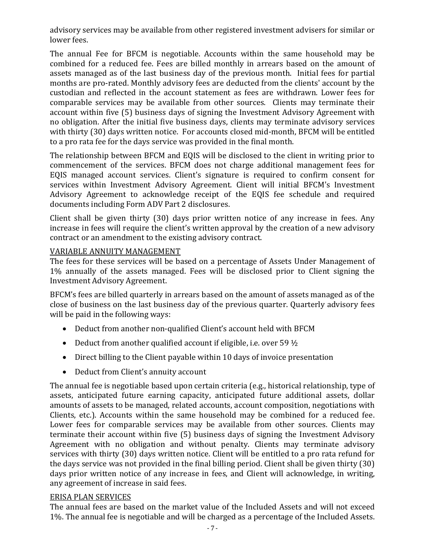advisory services may be available from other registered investment advisers for similar or lower fees.

The annual Fee for BFCM is negotiable. Accounts within the same household may be combined for a reduced fee. Fees are billed monthly in arrears based on the amount of assets managed as of the last business day of the previous month. Initial fees for partial months are pro-rated. Monthly advisory fees are deducted from the clients' account by the custodian and reflected in the account statement as fees are withdrawn. Lower fees for comparable services may be available from other sources. Clients may terminate their account within five (5) business days of signing the Investment Advisory Agreement with no obligation. After the initial five business days, clients may terminate advisory services with thirty (30) days written notice. For accounts closed mid-month, BFCM will be entitled to a pro rata fee for the days service was provided in the final month.

The relationship between BFCM and EQIS will be disclosed to the client in writing prior to commencement of the services. BFCM does not charge additional management fees for EQIS managed account services. Client's signature is required to confirm consent for services within Investment Advisory Agreement. Client will initial BFCM's Investment Advisory Agreement to acknowledge receipt of the EQIS fee schedule and required documents including Form ADV Part 2 disclosures.

Client shall be given thirty (30) days prior written notice of any increase in fees. Any increase in fees will require the client's written approval by the creation of a new advisory contract or an amendment to the existing advisory contract.

### VARIABLE ANNUITY MANAGEMENT

The fees for these services will be based on a percentage of Assets Under Management of 1% annually of the assets managed. Fees will be disclosed prior to Client signing the Investment Advisory Agreement.

BFCM's fees are billed quarterly in arrears based on the amount of assets managed as of the close of business on the last business day of the previous quarter. Quarterly advisory fees will be paid in the following ways:

- Deduct from another non-qualified Client's account held with BFCM
- Deduct from another qualified account if eligible, i.e. over 59  $1/2$
- Direct billing to the Client payable within 10 days of invoice presentation
- Deduct from Client's annuity account

The annual fee is negotiable based upon certain criteria (e.g., historical relationship, type of assets, anticipated future earning capacity, anticipated future additional assets, dollar amounts of assets to be managed, related accounts, account composition, negotiations with Clients, etc.). Accounts within the same household may be combined for a reduced fee. Lower fees for comparable services may be available from other sources. Clients may terminate their account within five (5) business days of signing the Investment Advisory Agreement with no obligation and without penalty. Clients may terminate advisory services with thirty (30) days written notice. Client will be entitled to a pro rata refund for the days service was not provided in the final billing period. Client shall be given thirty (30) days prior written notice of any increase in fees, and Client will acknowledge, in writing, any agreement of increase in said fees.

#### ERISA PLAN SERVICES

The annual fees are based on the market value of the Included Assets and will not exceed 1%. The annual fee is negotiable and will be charged as a percentage of the Included Assets.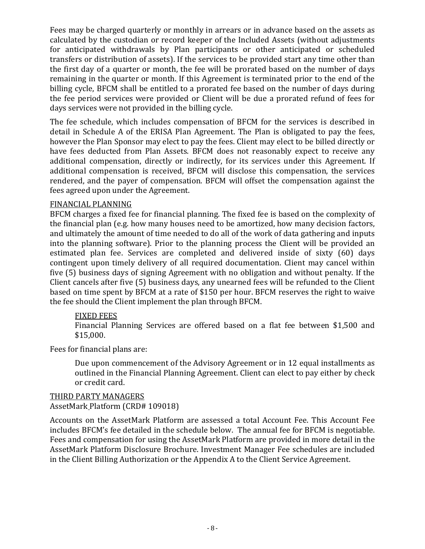Fees may be charged quarterly or monthly in arrears or in advance based on the assets as calculated by the custodian or record keeper of the Included Assets (without adjustments for anticipated withdrawals by Plan participants or other anticipated or scheduled transfers or distribution of assets). If the services to be provided start any time other than the first day of a quarter or month, the fee will be prorated based on the number of days remaining in the quarter or month. If this Agreement is terminated prior to the end of the billing cycle, BFCM shall be entitled to a prorated fee based on the number of days during the fee period services were provided or Client will be due a prorated refund of fees for days services were not provided in the billing cycle.

The fee schedule, which includes compensation of BFCM for the services is described in detail in Schedule A of the ERISA Plan Agreement. The Plan is obligated to pay the fees, however the Plan Sponsor may elect to pay the fees. Client may elect to be billed directly or have fees deducted from Plan Assets. BFCM does not reasonably expect to receive any additional compensation, directly or indirectly, for its services under this Agreement. If additional compensation is received, BFCM will disclose this compensation, the services rendered, and the payer of compensation. BFCM will offset the compensation against the fees agreed upon under the Agreement.

#### FINANCIAL PLANNING

BFCM charges a fixed fee for financial planning. The fixed fee is based on the complexity of the financial plan (e.g. how many houses need to be amortized, how many decision factors, and ultimately the amount of time needed to do all of the work of data gathering and inputs into the planning software). Prior to the planning process the Client will be provided an estimated plan fee. Services are completed and delivered inside of sixty (60) days contingent upon timely delivery of all required documentation. Client may cancel within five (5) business days of signing Agreement with no obligation and without penalty. If the Client cancels after five (5) business days, any unearned fees will be refunded to the Client based on time spent by BFCM at a rate of \$150 per hour. BFCM reserves the right to waive the fee should the Client implement the plan through BFCM.

#### FIXED FEES

Financial Planning Services are offered based on a flat fee between \$1,500 and \$15,000.

Fees for financial plans are:

Due upon commencement of the Advisory Agreement or in 12 equal installments as outlined in the Financial Planning Agreement. Client can elect to pay either by check or credit card.

#### THIRD PARTY MANAGERS AssetMark Platform (CRD# 109018)

Accounts on the AssetMark Platform are assessed a total Account Fee. This Account Fee includes BFCM's fee detailed in the schedule below. The annual fee for BFCM is negotiable. Fees and compensation for using the AssetMark Platform are provided in more detail in the AssetMark Platform Disclosure Brochure. Investment Manager Fee schedules are included in the Client Billing Authorization or the Appendix A to the Client Service Agreement.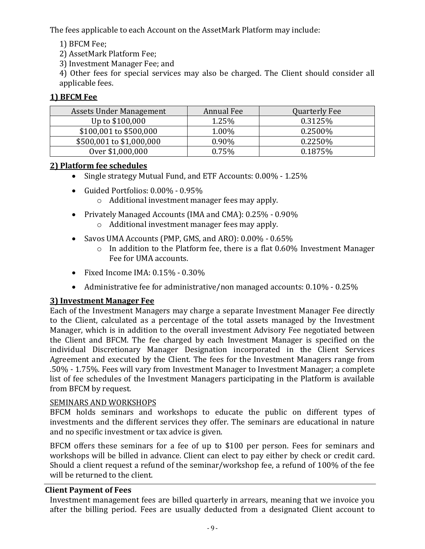The fees applicable to each Account on the AssetMark Platform may include:

- 1) BFCM Fee;
- 2) AssetMark Platform Fee;
- 3) Investment Manager Fee; and

4) Other fees for special services may also be charged. The Client should consider all applicable fees.

## **1) BFCM Fee**

| Assets Under Management  | Annual Fee | Quarterly Fee |
|--------------------------|------------|---------------|
| Up to \$100,000          | 1.25%      | 0.3125%       |
| \$100,001 to \$500,000   | 1.00%      | $0.2500\%$    |
| \$500,001 to \$1,000,000 | 0.90%      | 0.2250\%      |
| Over \$1,000,000         | 0.75%      | 0.1875%       |

## **2) Platform fee schedules**

- Single strategy Mutual Fund, and ETF Accounts: 0.00% 1.25%
- Guided Portfolios: 0.00% 0.95%
	- o Additional investment manager fees may apply.
- Privately Managed Accounts (IMA and CMA): 0.25% 0.90% o Additional investment manager fees may apply.
- Savos UMA Accounts (PMP, GMS, and ARO): 0.00% 0.65%
	- $\circ$  In addition to the Platform fee, there is a flat 0.60% Investment Manager Fee for UMA accounts.
- Fixed Income IMA:  $0.15\%$   $0.30\%$
- Administrative fee for administrative/non managed accounts: 0.10% 0.25%

## **3) Investment Manager Fee**

Each of the Investment Managers may charge a separate Investment Manager Fee directly to the Client, calculated as a percentage of the total assets managed by the Investment Manager, which is in addition to the overall investment Advisory Fee negotiated between the Client and BFCM. The fee charged by each Investment Manager is specified on the individual Discretionary Manager Designation incorporated in the Client Services Agreement and executed by the Client. The fees for the Investment Managers range from .50% - 1.75%. Fees will vary from Investment Manager to Investment Manager; a complete list of fee schedules of the Investment Managers participating in the Platform is available from BFCM by request.

## SEMINARS AND WORKSHOPS

BFCM holds seminars and workshops to educate the public on different types of investments and the different services they offer. The seminars are educational in nature and no specific investment or tax advice is given.

BFCM offers these seminars for a fee of up to \$100 per person. Fees for seminars and workshops will be billed in advance. Client can elect to pay either by check or credit card. Should a client request a refund of the seminar/workshop fee, a refund of 100% of the fee will be returned to the client.

## <span id="page-13-0"></span>**Client Payment of Fees**

Investment management fees are billed quarterly in arrears, meaning that we invoice you after the billing period. Fees are usually deducted from a designated Client account to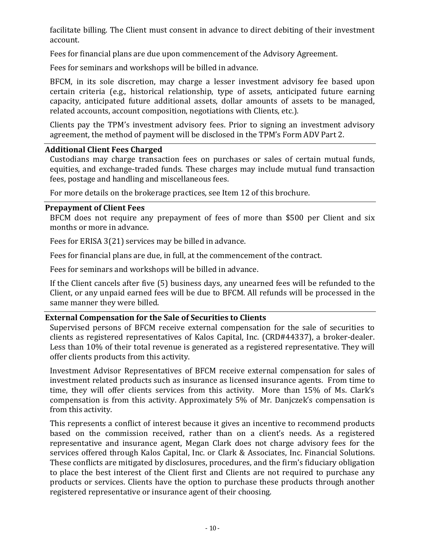facilitate billing. The Client must consent in advance to direct debiting of their investment account.

Fees for financial plans are due upon commencement of the Advisory Agreement.

Fees for seminars and workshops will be billed in advance.

BFCM, in its sole discretion, may charge a lesser investment advisory fee based upon certain criteria (e.g., historical relationship, type of assets, anticipated future earning capacity, anticipated future additional assets, dollar amounts of assets to be managed, related accounts, account composition, negotiations with Clients, etc.).

Clients pay the TPM's investment advisory fees. Prior to signing an investment advisory agreement, the method of payment will be disclosed in the TPM's Form ADV Part 2.

#### <span id="page-14-0"></span>**Additional Client Fees Charged**

Custodians may charge transaction fees on purchases or sales of certain mutual funds, equities, and exchange-traded funds. These charges may include mutual fund transaction fees, postage and handling and miscellaneous fees.

For more details on the brokerage practices, see Item 12 of this brochure.

#### <span id="page-14-1"></span>**Prepayment of Client Fees**

BFCM does not require any prepayment of fees of more than \$500 per Client and six months or more in advance.

Fees for ERISA 3(21) services may be billed in advance.

Fees for financial plans are due, in full, at the commencement of the contract.

Fees for seminars and workshops will be billed in advance.

If the Client cancels after five (5) business days, any unearned fees will be refunded to the Client, or any unpaid earned fees will be due to BFCM. All refunds will be processed in the same manner they were billed.

#### <span id="page-14-2"></span>**External Compensation for the Sale of Securities to Clients**

Supervised persons of BFCM receive external compensation for the sale of securities to clients as registered representatives of Kalos Capital, Inc. (CRD#44337), a broker-dealer. Less than 10% of their total revenue is generated as a registered representative. They will offer clients products from this activity.

Investment Advisor Representatives of BFCM receive external compensation for sales of investment related products such as insurance as licensed insurance agents. From time to time, they will offer clients services from this activity. More than 15% of Ms. Clark's compensation is from this activity. Approximately 5% of Mr. Danjczek's compensation is from this activity.

This represents a conflict of interest because it gives an incentive to recommend products based on the commission received, rather than on a client's needs. As a registered representative and insurance agent, Megan Clark does not charge advisory fees for the services offered through Kalos Capital, Inc. or Clark & Associates, Inc. Financial Solutions. These conflicts are mitigated by disclosures, procedures, and the firm's fiduciary obligation to place the best interest of the Client first and Clients are not required to purchase any products or services. Clients have the option to purchase these products through another registered representative or insurance agent of their choosing.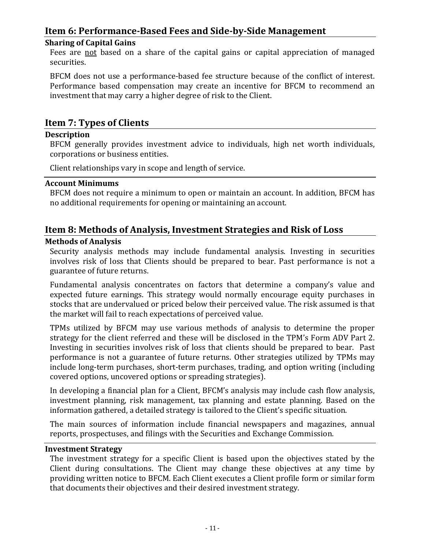## <span id="page-15-0"></span>**Item 6: Performance-Based Fees and Side-by-Side Management**

#### <span id="page-15-1"></span>**Sharing of Capital Gains**

Fees are not based on a share of the capital gains or capital appreciation of managed securities.

BFCM does not use a performance-based fee structure because of the conflict of interest. Performance based compensation may create an incentive for BFCM to recommend an investment that may carry a higher degree of risk to the Client.

## <span id="page-15-2"></span>**Item 7: Types of Clients**

#### <span id="page-15-3"></span>**Description**

BFCM generally provides investment advice to individuals, high net worth individuals, corporations or business entities.

Client relationships vary in scope and length of service.

#### <span id="page-15-4"></span>**Account Minimums**

BFCM does not require a minimum to open or maintain an account. In addition, BFCM has no additional requirements for opening or maintaining an account.

## <span id="page-15-5"></span>**Item 8: Methods of Analysis, Investment Strategies and Risk of Loss**

#### <span id="page-15-6"></span>**Methods of Analysis**

Security analysis methods may include fundamental analysis. Investing in securities involves risk of loss that Clients should be prepared to bear. Past performance is not a guarantee of future returns.

Fundamental analysis concentrates on factors that determine a company's value and expected future earnings. This strategy would normally encourage equity purchases in stocks that are undervalued or priced below their perceived value. The risk assumed is that the market will fail to reach expectations of perceived value.

TPMs utilized by BFCM may use various methods of analysis to determine the proper strategy for the client referred and these will be disclosed in the TPM's Form ADV Part 2. Investing in securities involves risk of loss that clients should be prepared to bear. Past performance is not a guarantee of future returns. Other strategies utilized by TPMs may include long-term purchases, short-term purchases, trading, and option writing (including covered options, uncovered options or spreading strategies).

In developing a financial plan for a Client, BFCM's analysis may include cash flow analysis, investment planning, risk management, tax planning and estate planning. Based on the information gathered, a detailed strategy is tailored to the Client's specific situation.

The main sources of information include financial newspapers and magazines, annual reports, prospectuses, and filings with the Securities and Exchange Commission.

#### <span id="page-15-7"></span>**Investment Strategy**

The investment strategy for a specific Client is based upon the objectives stated by the Client during consultations. The Client may change these objectives at any time by providing written notice to BFCM. Each Client executes a Client profile form or similar form that documents their objectives and their desired investment strategy.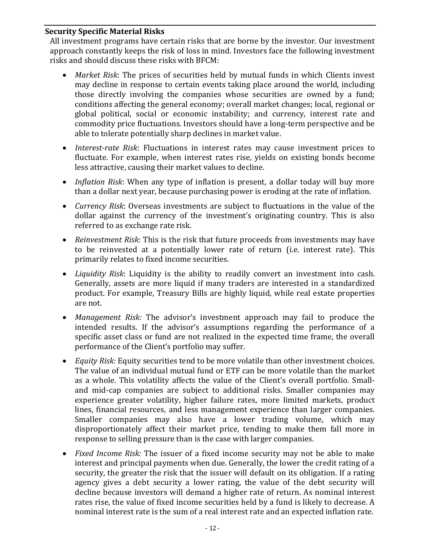#### <span id="page-16-0"></span>**Security Specific Material Risks**

All investment programs have certain risks that are borne by the investor. Our investment approach constantly keeps the risk of loss in mind. Investors face the following investment risks and should discuss these risks with BFCM:

- *Market Risk*: The prices of securities held by mutual funds in which Clients invest may decline in response to certain events taking place around the world, including those directly involving the companies whose securities are owned by a fund; conditions affecting the general economy; overall market changes; local, regional or global political, social or economic instability; and currency, interest rate and commodity price fluctuations. Investors should have a long-term perspective and be able to tolerate potentially sharp declines in market value.
- *Interest-rate Risk*: Fluctuations in interest rates may cause investment prices to fluctuate. For example, when interest rates rise, yields on existing bonds become less attractive, causing their market values to decline.
- *Inflation Risk*: When any type of inflation is present, a dollar today will buy more than a dollar next year, because purchasing power is eroding at the rate of inflation.
- *Currency Risk*: Overseas investments are subject to fluctuations in the value of the dollar against the currency of the investment's originating country. This is also referred to as exchange rate risk.
- *Reinvestment Risk*: This is the risk that future proceeds from investments may have to be reinvested at a potentially lower rate of return (i.e. interest rate). This primarily relates to fixed income securities.
- *Liquidity Risk*: Liquidity is the ability to readily convert an investment into cash. Generally, assets are more liquid if many traders are interested in a standardized product. For example, Treasury Bills are highly liquid, while real estate properties are not.
- *Management Risk:* The advisor's investment approach may fail to produce the intended results. If the advisor's assumptions regarding the performance of a specific asset class or fund are not realized in the expected time frame, the overall performance of the Client's portfolio may suffer.
- *Equity Risk:* Equity securities tend to be more volatile than other investment choices. The value of an individual mutual fund or ETF can be more volatile than the market as a whole. This volatility affects the value of the Client's overall portfolio. Smalland mid-cap companies are subject to additional risks. Smaller companies may experience greater volatility, higher failure rates, more limited markets, product lines, financial resources, and less management experience than larger companies. Smaller companies may also have a lower trading volume, which may disproportionately affect their market price, tending to make them fall more in response to selling pressure than is the case with larger companies.
- *Fixed Income Risk:* The issuer of a fixed income security may not be able to make interest and principal payments when due. Generally, the lower the credit rating of a security, the greater the risk that the issuer will default on its obligation. If a rating agency gives a debt security a lower rating, the value of the debt security will decline because investors will demand a higher rate of return. As nominal interest rates rise, the value of fixed income securities held by a fund is likely to decrease. A nominal interest rate is the sum of a real interest rate and an expected inflation rate.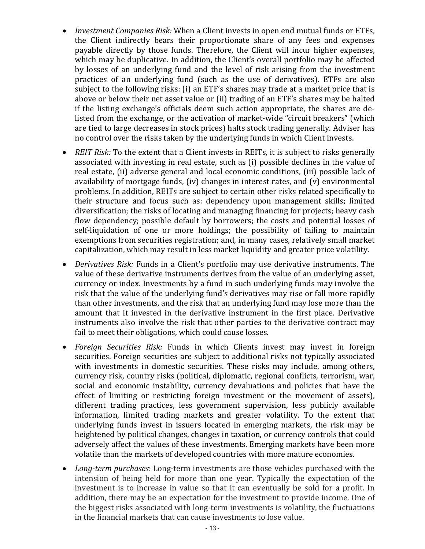- *Investment Companies Risk:* When a Client invests in open end mutual funds or ETFs, the Client indirectly bears their proportionate share of any fees and expenses payable directly by those funds. Therefore, the Client will incur higher expenses, which may be duplicative. In addition, the Client's overall portfolio may be affected by losses of an underlying fund and the level of risk arising from the investment practices of an underlying fund (such as the use of derivatives). ETFs are also subject to the following risks: (i) an ETF's shares may trade at a market price that is above or below their net asset value or (ii) trading of an ETF's shares may be halted if the listing exchange's officials deem such action appropriate, the shares are delisted from the exchange, or the activation of market-wide "circuit breakers" (which are tied to large decreases in stock prices) halts stock trading generally. Adviser has no control over the risks taken by the underlying funds in which Client invests.
- *REIT Risk:* To the extent that a Client invests in REITs, it is subject to risks generally associated with investing in real estate, such as (i) possible declines in the value of real estate, (ii) adverse general and local economic conditions, (iii) possible lack of availability of mortgage funds, (iv) changes in interest rates, and (v) environmental problems. In addition, REITs are subject to certain other risks related specifically to their structure and focus such as: dependency upon management skills; limited diversification; the risks of locating and managing financing for projects; heavy cash flow dependency; possible default by borrowers; the costs and potential losses of self-liquidation of one or more holdings; the possibility of failing to maintain exemptions from securities registration; and, in many cases, relatively small market capitalization, which may result in less market liquidity and greater price volatility.
- *Derivatives Risk:* Funds in a Client's portfolio may use derivative instruments. The value of these derivative instruments derives from the value of an underlying asset, currency or index. Investments by a fund in such underlying funds may involve the risk that the value of the underlying fund's derivatives may rise or fall more rapidly than other investments, and the risk that an underlying fund may lose more than the amount that it invested in the derivative instrument in the first place. Derivative instruments also involve the risk that other parties to the derivative contract may fail to meet their obligations, which could cause losses.
- *Foreign Securities Risk:* Funds in which Clients invest may invest in foreign securities. Foreign securities are subject to additional risks not typically associated with investments in domestic securities. These risks may include, among others, currency risk, country risks (political, diplomatic, regional conflicts, terrorism, war, social and economic instability, currency devaluations and policies that have the effect of limiting or restricting foreign investment or the movement of assets), different trading practices, less government supervision, less publicly available information, limited trading markets and greater volatility. To the extent that underlying funds invest in issuers located in emerging markets, the risk may be heightened by political changes, changes in taxation, or currency controls that could adversely affect the values of these investments. Emerging markets have been more volatile than the markets of developed countries with more mature economies.
- *Long-term purchases*: Long-term investments are those vehicles purchased with the intension of being held for more than one year. Typically the expectation of the investment is to increase in value so that it can eventually be sold for a profit. In addition, there may be an expectation for the investment to provide income. One of the biggest risks associated with long-term investments is volatility, the fluctuations in the financial markets that can cause investments to lose value.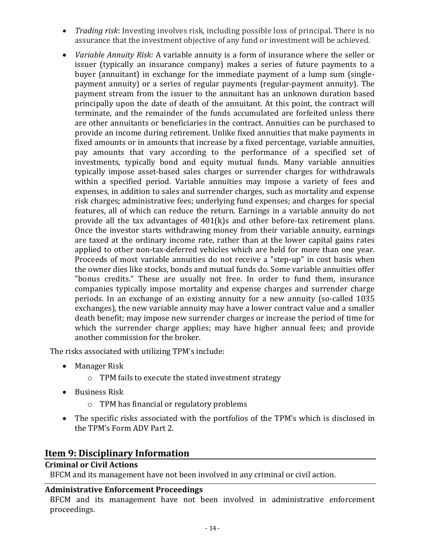- *Trading risk*: Investing involves risk, including possible loss of principal. There is no assurance that the investment objective of any fund or investment will be achieved.
- *Variable Annuity Risk:* A variable annuity is a form of insurance where the seller or issuer (typically an insurance company) makes a series of future payments to a buyer (annuitant) in exchange for the immediate payment of a lump sum (singlepayment annuity) or a series of regular payments (regular-payment annuity). The payment stream from the issuer to the annuitant has an unknown duration based principally upon the date of death of the annuitant. At this point, the contract will terminate, and the remainder of the funds accumulated are forfeited unless there are other annuitants or beneficiaries in the contract. Annuities can be purchased to provide an income during retirement. Unlike fixed annuities that make payments in fixed amounts or in amounts that increase by a fixed percentage, variable annuities, pay amounts that vary according to the performance of a specified set of investments, typically bond and equity mutual funds. Many variable annuities typically impose asset-based sales charges or surrender charges for withdrawals within a specified period. Variable annuities may impose a variety of fees and expenses, in addition to sales and surrender charges, such as mortality and expense risk charges; administrative fees; underlying fund expenses; and charges for special features, all of which can reduce the return. Earnings in a variable annuity do not provide all the tax advantages of 401(k)s and other before-tax retirement plans. Once the investor starts withdrawing money from their variable annuity, earnings are taxed at the ordinary income rate, rather than at the lower capital gains rates applied to other non-tax-deferred vehicles which are held for more than one year. Proceeds of most variable annuities do not receive a "step-up" in cost basis when the owner dies like stocks, bonds and mutual funds do. Some variable annuities offer "bonus credits." These are usually not free. In order to fund them, insurance companies typically impose mortality and expense charges and surrender charge periods. In an exchange of an existing annuity for a new annuity (so-called 1035 exchanges), the new variable annuity may have a lower contract value and a smaller death benefit; may impose new surrender charges or increase the period of time for which the surrender charge applies; may have higher annual fees; and provide another commission for the broker.

The risks associated with utilizing TPM's include:

- Manager Risk
	- o TPM fails to execute the stated investment strategy
- Business Risk
	- o TPM has financial or regulatory problems
- The specific risks associated with the portfolios of the TPM's which is disclosed in the TPM's Form ADV Part 2.

## <span id="page-18-0"></span>**Item 9: Disciplinary Information**

#### <span id="page-18-1"></span>**Criminal or Civil Actions**

BFCM and its management have not been involved in any criminal or civil action.

#### <span id="page-18-2"></span>**Administrative Enforcement Proceedings**

BFCM and its management have not been involved in administrative enforcement proceedings.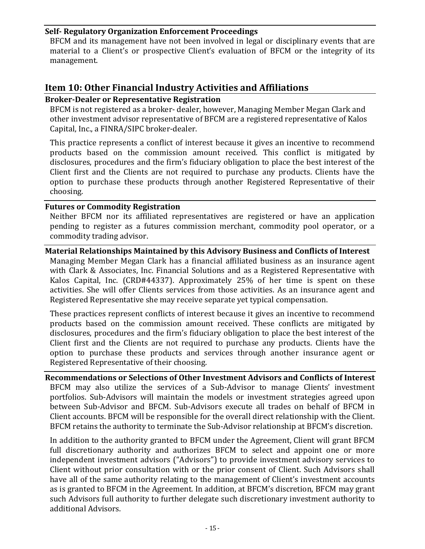#### <span id="page-19-0"></span>**Self- Regulatory Organization Enforcement Proceedings**

BFCM and its management have not been involved in legal or disciplinary events that are material to a Client's or prospective Client's evaluation of BFCM or the integrity of its management.

## <span id="page-19-1"></span>**Item 10: Other Financial Industry Activities and Affiliations**

#### <span id="page-19-2"></span>**Broker-Dealer or Representative Registration**

BFCM is not registered as a broker- dealer, however, Managing Member Megan Clark and other investment advisor representative of BFCM are a registered representative of Kalos Capital, Inc., a FINRA/SIPC broker-dealer.

This practice represents a conflict of interest because it gives an incentive to recommend products based on the commission amount received. This conflict is mitigated by disclosures, procedures and the firm's fiduciary obligation to place the best interest of the Client first and the Clients are not required to purchase any products. Clients have the option to purchase these products through another Registered Representative of their choosing.

#### <span id="page-19-3"></span>**Futures or Commodity Registration**

Neither BFCM nor its affiliated representatives are registered or have an application pending to register as a futures commission merchant, commodity pool operator, or a commodity trading advisor.

#### <span id="page-19-4"></span>**Material Relationships Maintained by this Advisory Business and Conflicts of Interest**

Managing Member Megan Clark has a financial affiliated business as an insurance agent with Clark & Associates, Inc. Financial Solutions and as a Registered Representative with Kalos Capital, Inc. (CRD#44337). Approximately 25% of her time is spent on these activities. She will offer Clients services from those activities. As an insurance agent and Registered Representative she may receive separate yet typical compensation.

These practices represent conflicts of interest because it gives an incentive to recommend products based on the commission amount received. These conflicts are mitigated by disclosures, procedures and the firm's fiduciary obligation to place the best interest of the Client first and the Clients are not required to purchase any products. Clients have the option to purchase these products and services through another insurance agent or Registered Representative of their choosing.

<span id="page-19-5"></span>**Recommendations or Selections of Other Investment Advisors and Conflicts of Interest** BFCM may also utilize the services of a Sub-Advisor to manage Clients' investment portfolios. Sub-Advisors will maintain the models or investment strategies agreed upon between Sub-Advisor and BFCM. Sub-Advisors execute all trades on behalf of BFCM in Client accounts. BFCM will be responsible for the overall direct relationship with the Client. BFCM retains the authority to terminate the Sub-Advisor relationship at BFCM's discretion.

In addition to the authority granted to BFCM under the Agreement, Client will grant BFCM full discretionary authority and authorizes BFCM to select and appoint one or more independent investment advisors ("Advisors") to provide investment advisory services to Client without prior consultation with or the prior consent of Client. Such Advisors shall have all of the same authority relating to the management of Client's investment accounts as is granted to BFCM in the Agreement. In addition, at BFCM's discretion, BFCM may grant such Advisors full authority to further delegate such discretionary investment authority to additional Advisors.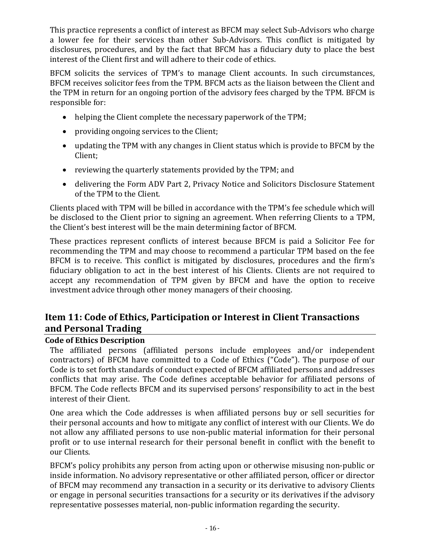This practice represents a conflict of interest as BFCM may select Sub-Advisors who charge a lower fee for their services than other Sub-Advisors. This conflict is mitigated by disclosures, procedures, and by the fact that BFCM has a fiduciary duty to place the best interest of the Client first and will adhere to their code of ethics.

BFCM solicits the services of TPM's to manage Client accounts. In such circumstances, BFCM receives solicitor fees from the TPM. BFCM acts as the liaison between the Client and the TPM in return for an ongoing portion of the advisory fees charged by the TPM. BFCM is responsible for:

- helping the Client complete the necessary paperwork of the TPM;
- providing ongoing services to the Client;
- updating the TPM with any changes in Client status which is provide to BFCM by the Client;
- reviewing the quarterly statements provided by the TPM; and
- delivering the Form ADV Part 2, Privacy Notice and Solicitors Disclosure Statement of the TPM to the Client.

Clients placed with TPM will be billed in accordance with the TPM's fee schedule which will be disclosed to the Client prior to signing an agreement. When referring Clients to a TPM, the Client's best interest will be the main determining factor of BFCM.

These practices represent conflicts of interest because BFCM is paid a Solicitor Fee for recommending the TPM and may choose to recommend a particular TPM based on the fee BFCM is to receive. This conflict is mitigated by disclosures, procedures and the firm's fiduciary obligation to act in the best interest of his Clients. Clients are not required to accept any recommendation of TPM given by BFCM and have the option to receive investment advice through other money managers of their choosing.

## <span id="page-20-0"></span>**Item 11: Code of Ethics, Participation or Interest in Client Transactions and Personal Trading**

## <span id="page-20-1"></span>**Code of Ethics Description**

The affiliated persons (affiliated persons include employees and/or independent contractors) of BFCM have committed to a Code of Ethics ("Code"). The purpose of our Code is to set forth standards of conduct expected of BFCM affiliated persons and addresses conflicts that may arise. The Code defines acceptable behavior for affiliated persons of BFCM. The Code reflects BFCM and its supervised persons' responsibility to act in the best interest of their Client.

One area which the Code addresses is when affiliated persons buy or sell securities for their personal accounts and how to mitigate any conflict of interest with our Clients. We do not allow any affiliated persons to use non-public material information for their personal profit or to use internal research for their personal benefit in conflict with the benefit to our Clients.

BFCM's policy prohibits any person from acting upon or otherwise misusing non-public or inside information. No advisory representative or other affiliated person, officer or director of BFCM may recommend any transaction in a security or its derivative to advisory Clients or engage in personal securities transactions for a security or its derivatives if the advisory representative possesses material, non-public information regarding the security.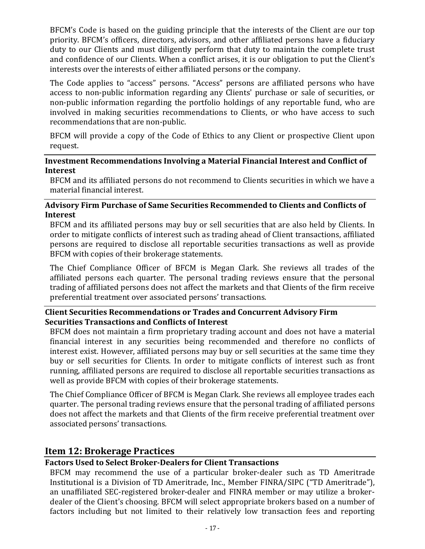BFCM's Code is based on the guiding principle that the interests of the Client are our top priority. BFCM's officers, directors, advisors, and other affiliated persons have a fiduciary duty to our Clients and must diligently perform that duty to maintain the complete trust and confidence of our Clients. When a conflict arises, it is our obligation to put the Client's interests over the interests of either affiliated persons or the company.

The Code applies to "access" persons. "Access" persons are affiliated persons who have access to non-public information regarding any Clients' purchase or sale of securities, or non-public information regarding the portfolio holdings of any reportable fund, who are involved in making securities recommendations to Clients, or who have access to such recommendations that are non-public.

BFCM will provide a copy of the Code of Ethics to any Client or prospective Client upon request.

#### <span id="page-21-0"></span>**Investment Recommendations Involving a Material Financial Interest and Conflict of Interest**

BFCM and its affiliated persons do not recommend to Clients securities in which we have a material financial interest.

## <span id="page-21-1"></span>**Advisory Firm Purchase of Same Securities Recommended to Clients and Conflicts of Interest**

BFCM and its affiliated persons may buy or sell securities that are also held by Clients. In order to mitigate conflicts of interest such as trading ahead of Client transactions, affiliated persons are required to disclose all reportable securities transactions as well as provide BFCM with copies of their brokerage statements.

The Chief Compliance Officer of BFCM is Megan Clark. She reviews all trades of the affiliated persons each quarter. The personal trading reviews ensure that the personal trading of affiliated persons does not affect the markets and that Clients of the firm receive preferential treatment over associated persons' transactions.

#### <span id="page-21-2"></span>**Client Securities Recommendations or Trades and Concurrent Advisory Firm Securities Transactions and Conflicts of Interest**

BFCM does not maintain a firm proprietary trading account and does not have a material financial interest in any securities being recommended and therefore no conflicts of interest exist. However, affiliated persons may buy or sell securities at the same time they buy or sell securities for Clients. In order to mitigate conflicts of interest such as front running, affiliated persons are required to disclose all reportable securities transactions as well as provide BFCM with copies of their brokerage statements.

The Chief Compliance Officer of BFCM is Megan Clark. She reviews all employee trades each quarter. The personal trading reviews ensure that the personal trading of affiliated persons does not affect the markets and that Clients of the firm receive preferential treatment over associated persons' transactions.

## <span id="page-21-3"></span>**Item 12: Brokerage Practices**

## <span id="page-21-4"></span>**Factors Used to Select Broker-Dealers for Client Transactions**

BFCM may recommend the use of a particular broker-dealer such as TD Ameritrade Institutional is a Division of TD Ameritrade, Inc., Member FINRA/SIPC ("TD Ameritrade"), an unaffiliated SEC-registered broker-dealer and FINRA member or may utilize a brokerdealer of the Client's choosing. BFCM will select appropriate brokers based on a number of factors including but not limited to their relatively low transaction fees and reporting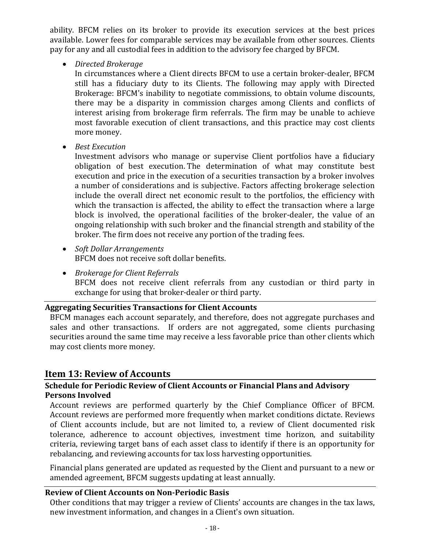ability. BFCM relies on its broker to provide its execution services at the best prices available. Lower fees for comparable services may be available from other sources. Clients pay for any and all custodial fees in addition to the advisory fee charged by BFCM.

• *Directed Brokerage*

In circumstances where a Client directs BFCM to use a certain broker-dealer, BFCM still has a fiduciary duty to its Clients. The following may apply with Directed Brokerage: BFCM's inability to negotiate commissions, to obtain volume discounts, there may be a disparity in commission charges among Clients and conflicts of interest arising from brokerage firm referrals. The firm may be unable to achieve most favorable execution of client transactions, and this practice may cost clients more money.

• *Best Execution*

Investment advisors who manage or supervise Client portfolios have a fiduciary obligation of best execution. The determination of what may constitute best execution and price in the execution of a securities transaction by a broker involves a number of considerations and is subjective. Factors affecting brokerage selection include the overall direct net economic result to the portfolios, the efficiency with which the transaction is affected, the ability to effect the transaction where a large block is involved, the operational facilities of the broker-dealer, the value of an ongoing relationship with such broker and the financial strength and stability of the broker. The firm does not receive any portion of the trading fees.

- *Soft Dollar Arrangements* BFCM does not receive soft dollar benefits.
- *Brokerage for Client Referrals* BFCM does not receive client referrals from any custodian or third party in exchange for using that broker-dealer or third party.

#### <span id="page-22-0"></span>**Aggregating Securities Transactions for Client Accounts**

BFCM manages each account separately, and therefore, does not aggregate purchases and sales and other transactions. If orders are not aggregated, some clients purchasing securities around the same time may receive a less favorable price than other clients which may cost clients more money.

## <span id="page-22-1"></span>**Item 13: Review of Accounts**

## <span id="page-22-2"></span>**Schedule for Periodic Review of Client Accounts or Financial Plans and Advisory Persons Involved**

Account reviews are performed quarterly by the Chief Compliance Officer of BFCM. Account reviews are performed more frequently when market conditions dictate. Reviews of Client accounts include, but are not limited to, a review of Client documented risk tolerance, adherence to account objectives, investment time horizon, and suitability criteria, reviewing target bans of each asset class to identify if there is an opportunity for rebalancing, and reviewing accounts for tax loss harvesting opportunities.

Financial plans generated are updated as requested by the Client and pursuant to a new or amended agreement, BFCM suggests updating at least annually.

## <span id="page-22-3"></span>**Review of Client Accounts on Non-Periodic Basis**

Other conditions that may trigger a review of Clients' accounts are changes in the tax laws, new investment information, and changes in a Client's own situation.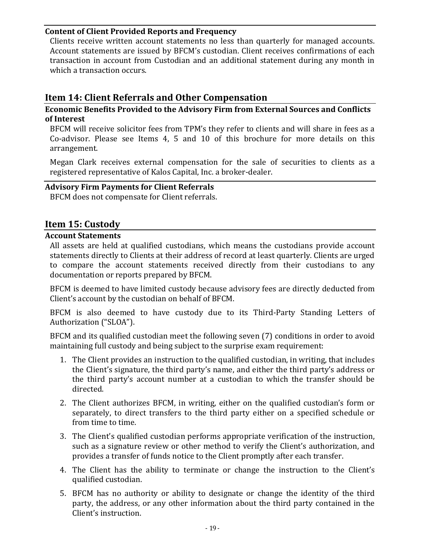#### <span id="page-23-0"></span>**Content of Client Provided Reports and Frequency**

Clients receive written account statements no less than quarterly for managed accounts. Account statements are issued by BFCM's custodian. Client receives confirmations of each transaction in account from Custodian and an additional statement during any month in which a transaction occurs.

## <span id="page-23-1"></span>**Item 14: Client Referrals and Other Compensation**

#### <span id="page-23-2"></span>**Economic Benefits Provided to the Advisory Firm from External Sources and Conflicts of Interest**

BFCM will receive solicitor fees from TPM's they refer to clients and will share in fees as a Co-advisor. Please see Items 4, 5 and 10 of this brochure for more details on this arrangement.

Megan Clark receives external compensation for the sale of securities to clients as a registered representative of Kalos Capital, Inc. a broker-dealer.

#### <span id="page-23-3"></span>**Advisory Firm Payments for Client Referrals**

BFCM does not compensate for Client referrals.

## <span id="page-23-4"></span>**Item 15: Custody**

#### <span id="page-23-5"></span>**Account Statements**

All assets are held at qualified custodians, which means the custodians provide account statements directly to Clients at their address of record at least quarterly. Clients are urged to compare the account statements received directly from their custodians to any documentation or reports prepared by BFCM.

BFCM is deemed to have limited custody because advisory fees are directly deducted from Client's account by the custodian on behalf of BFCM.

BFCM is also deemed to have custody due to its Third-Party Standing Letters of Authorization ("SLOA").

BFCM and its qualified custodian meet the following seven (7) conditions in order to avoid maintaining full custody and being subject to the surprise exam requirement:

- 1. The Client provides an instruction to the qualified custodian, in writing, that includes the Client's signature, the third party's name, and either the third party's address or the third party's account number at a custodian to which the transfer should be directed.
- 2. The Client authorizes BFCM, in writing, either on the qualified custodian's form or separately, to direct transfers to the third party either on a specified schedule or from time to time.
- 3. The Client's qualified custodian performs appropriate verification of the instruction, such as a signature review or other method to verify the Client's authorization, and provides a transfer of funds notice to the Client promptly after each transfer.
- 4. The Client has the ability to terminate or change the instruction to the Client's qualified custodian.
- 5. BFCM has no authority or ability to designate or change the identity of the third party, the address, or any other information about the third party contained in the Client's instruction.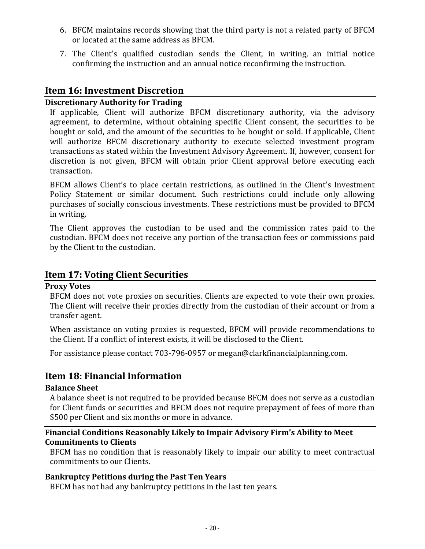- 6. BFCM maintains records showing that the third party is not a related party of BFCM or located at the same address as BFCM.
- 7. The Client's qualified custodian sends the Client, in writing, an initial notice confirming the instruction and an annual notice reconfirming the instruction.

## <span id="page-24-0"></span>**Item 16: Investment Discretion**

#### <span id="page-24-1"></span>**Discretionary Authority for Trading**

If applicable, Client will authorize BFCM discretionary authority, via the advisory agreement, to determine, without obtaining specific Client consent, the securities to be bought or sold, and the amount of the securities to be bought or sold. If applicable, Client will authorize BFCM discretionary authority to execute selected investment program transactions as stated within the Investment Advisory Agreement. If, however, consent for discretion is not given, BFCM will obtain prior Client approval before executing each transaction.

BFCM allows Client's to place certain restrictions, as outlined in the Client's Investment Policy Statement or similar document. Such restrictions could include only allowing purchases of socially conscious investments. These restrictions must be provided to BFCM in writing.

The Client approves the custodian to be used and the commission rates paid to the custodian. BFCM does not receive any portion of the transaction fees or commissions paid by the Client to the custodian.

### <span id="page-24-2"></span>**Item 17: Voting Client Securities**

#### <span id="page-24-3"></span>**Proxy Votes**

BFCM does not vote proxies on securities. Clients are expected to vote their own proxies. The Client will receive their proxies directly from the custodian of their account or from a transfer agent.

When assistance on voting proxies is requested, BFCM will provide recommendations to the Client. If a conflict of interest exists, it will be disclosed to the Client.

<span id="page-24-4"></span>For assistance please contact 703-796-0957 or megan@clarkfinancialplanning.com.

## **Item 18: Financial Information**

#### <span id="page-24-5"></span>**Balance Sheet**

A balance sheet is not required to be provided because BFCM does not serve as a custodian for Client funds or securities and BFCM does not require prepayment of fees of more than \$500 per Client and six months or more in advance.

### <span id="page-24-6"></span>**Financial Conditions Reasonably Likely to Impair Advisory Firm's Ability to Meet Commitments to Clients**

BFCM has no condition that is reasonably likely to impair our ability to meet contractual commitments to our Clients.

#### <span id="page-24-7"></span>**Bankruptcy Petitions during the Past Ten Years**

BFCM has not had any bankruptcy petitions in the last ten years.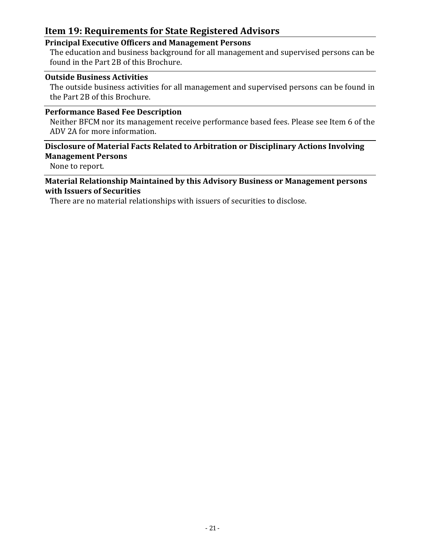## <span id="page-25-0"></span>**Item 19: Requirements for State Registered Advisors**

## <span id="page-25-1"></span>**Principal Executive Officers and Management Persons**

The education and business background for all management and supervised persons can be found in the Part 2B of this Brochure.

#### <span id="page-25-2"></span>**Outside Business Activities**

The outside business activities for all management and supervised persons can be found in the Part 2B of this Brochure.

## <span id="page-25-3"></span>**Performance Based Fee Description**

Neither BFCM nor its management receive performance based fees. Please see Item 6 of the ADV 2A for more information.

## <span id="page-25-4"></span>**Disclosure of Material Facts Related to Arbitration or Disciplinary Actions Involving Management Persons**

None to report.

### <span id="page-25-5"></span>**Material Relationship Maintained by this Advisory Business or Management persons with Issuers of Securities**

There are no material relationships with issuers of securities to disclose.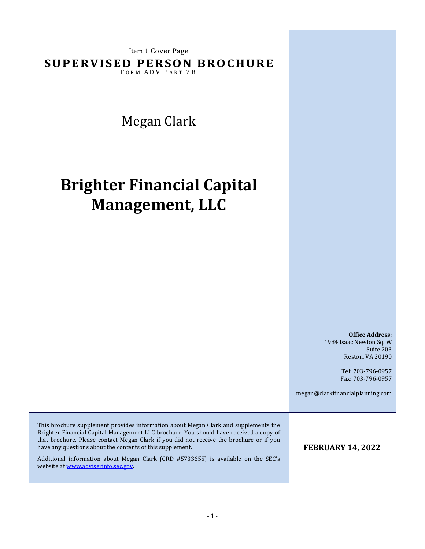Item 1 Cover Page

**SUPERVISED PERSON BROCHURE** 

FORM ADV PART 2B

Megan Clark

# **Brighter Financial Capital Management, LLC**

**Office Address:** 1984 Isaac Newton Sq. W Suite 203 Reston, VA 20190

> Tel: 703-796-0957 Fax: 703-796-0957

megan@clarkfinancialplanning.com

This brochure supplement provides information about Megan Clark and supplements the Brighter Financial Capital Management LLC brochure. You should have received a copy of that brochure. Please contact Megan Clark if you did not receive the brochure or if you have any questions about the contents of this supplement.

<span id="page-26-0"></span>Additional information about Megan Clark (CRD #5733655) is available on the SEC's website at www.adviserinfo.sec.gov.

**FEBRUARY 14, 2022**